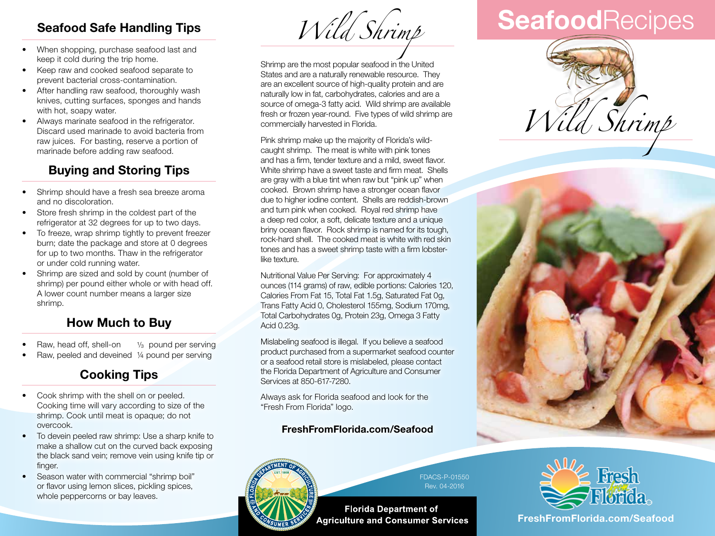# **Seafood Safe Handling Tips**

- When shopping, purchase seafood last and keep it cold during the trip home.
- Keep raw and cooked seafood separate to prevent bacterial cross-contamination.
- After handling raw seafood, thoroughly wash knives, cutting surfaces, sponges and hands with hot, soapy water.
- Always marinate seafood in the refrigerator. Discard used marinade to avoid bacteria from raw juices. For basting, reserve a portion of marinade before adding raw seafood.

# **Buying and Storing Tips**

- Shrimp should have a fresh sea breeze aroma and no discoloration.
- Store fresh shrimp in the coldest part of the refrigerator at 32 degrees for up to two days.
- To freeze, wrap shrimp tightly to prevent freezer burn; date the package and store at 0 degrees for up to two months. Thaw in the refrigerator or under cold running water.
- Shrimp are sized and sold by count (number of shrimp) per pound either whole or with head off. A lower count number means a larger size shrimp.

# **How Much to Buy**

- Raw, head off, shell-on 1/<sub>3</sub> pound per serving
- Raw, peeled and deveined ¼ pound per serving

# **Cooking Tips**

- Cook shrimp with the shell on or peeled. Cooking time will vary according to size of the shrimp. Cook until meat is opaque; do not overcook.
- To devein peeled raw shrimp: Use a sharp knife to make a shallow cut on the curved back exposing the black sand vein; remove vein using knife tip or finger.
- Season water with commercial "shrimp boil" or flavor using lemon slices, pickling spices, whole peppercorns or bay leaves.

*Wild Shrimp*

Shrimp are the most popular seafood in the United States and are a naturally renewable resource. They are an excellent source of high-quality protein and are naturally low in fat, carbohydrates, calories and are a source of omega-3 fatty acid. Wild shrimp are available fresh or frozen year-round. Five types of wild shrimp are commercially harvested in Florida.

Pink shrimp make up the majority of Florida's wildcaught shrimp. The meat is white with pink tones and has a firm, tender texture and a mild, sweet flavor. White shrimp have a sweet taste and firm meat. Shells are gray with a blue tint when raw but "pink up" when cooked. Brown shrimp have a stronger ocean flavor due to higher iodine content. Shells are reddish-brown and turn pink when cooked. Royal red shrimp have a deep red color, a soft, delicate texture and a unique briny ocean flavor. Rock shrimp is named for its tough, rock-hard shell. The cooked meat is white with red skin tones and has a sweet shrimp taste with a firm lobsterlike texture.

Nutritional Value Per Serving: For approximately 4 ounces (114 grams) of raw, edible portions: Calories 120, Calories From Fat 15, Total Fat 1.5g, Saturated Fat 0g, Trans Fatty Acid 0, Cholesterol 155mg, Sodium 170mg, Total Carbohydrates 0g, Protein 23g, Omega 3 Fatty Acid 0.23g.

Mislabeling seafood is illegal. If you believe a seafood product purchased from a supermarket seafood counter or a seafood retail store is mislabeled, please contact the Florida Department of Agriculture and Consumer Services at 850-617-7280.

Always ask for Florida seafood and look for the "Fresh From Florida" logo.

### **FreshFromFlorida.com/Seafood**



FDACS-P-01550 Rev. 04-2016

**Florida Department of Agriculture and Consumer Services** 

# **Seafood**Recipes







**FreshFromFlorida.com FreshFromFlorida.com/Seafood**